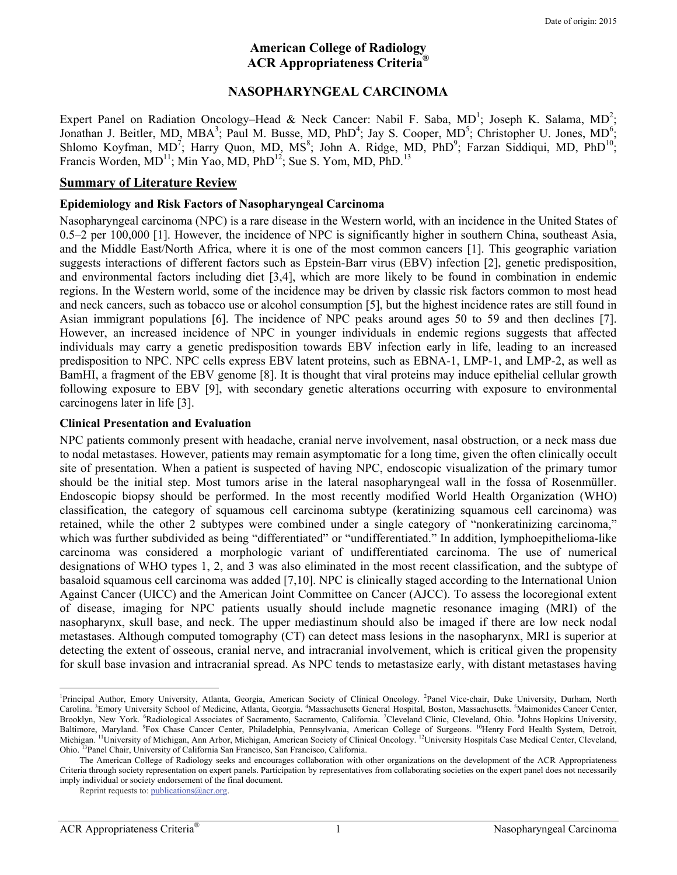#### **American College of Radiology ACR Appropriateness Criteria®**

#### **NASOPHARYNGEAL CARCINOMA**

Expert Panel on Radiation Oncology–Head & Neck Cancer: Nabil F. Saba, MD<sup>1</sup>; Joseph K. Salama, MD<sup>2</sup>; Jonathan J. Beitler, MD, MBA<sup>3</sup>; Paul M. Busse, MD, PhD<sup>4</sup>; Jay S. Cooper, MD<sup>5</sup>; Christopher U. Jones, MD<sup>6</sup>; Shlomo Koyfman, MD<sup>7</sup>; Harry Quon, MD, MS<sup>8</sup>; John A. Ridge, MD, PhD<sup>9</sup>; Farzan Siddiqui, MD, PhD<sup>10</sup>; Francis Worden,  $MD<sup>11</sup>$ ; Min Yao, MD, PhD<sup>12</sup>; Sue S. Yom, MD, PhD.<sup>13</sup>

#### **Summary of Literature Review**

#### **Epidemiology and Risk Factors of Nasopharyngeal Carcinoma**

Nasopharyngeal carcinoma (NPC) is a rare disease in the Western world, with an incidence in the United States of 0.5–2 per 100,000 [1]. However, the incidence of NPC is significantly higher in southern China, southeast Asia, and the Middle East/North Africa, where it is one of the most common cancers [1]. This geographic variation suggests interactions of different factors such as Epstein-Barr virus (EBV) infection [2], genetic predisposition, and environmental factors including diet [3,4], which are more likely to be found in combination in endemic regions. In the Western world, some of the incidence may be driven by classic risk factors common to most head and neck cancers, such as tobacco use or alcohol consumption [5], but the highest incidence rates are still found in Asian immigrant populations [6]. The incidence of NPC peaks around ages 50 to 59 and then declines [7]. However, an increased incidence of NPC in younger individuals in endemic regions suggests that affected individuals may carry a genetic predisposition towards EBV infection early in life, leading to an increased predisposition to NPC. NPC cells express EBV latent proteins, such as EBNA-1, LMP-1, and LMP-2, as well as BamHI, a fragment of the EBV genome [8]. It is thought that viral proteins may induce epithelial cellular growth following exposure to EBV [9], with secondary genetic alterations occurring with exposure to environmental carcinogens later in life [3].

#### **Clinical Presentation and Evaluation**

NPC patients commonly present with headache, cranial nerve involvement, nasal obstruction, or a neck mass due to nodal metastases. However, patients may remain asymptomatic for a long time, given the often clinically occult site of presentation. When a patient is suspected of having NPC, endoscopic visualization of the primary tumor should be the initial step. Most tumors arise in the lateral nasopharyngeal wall in the fossa of Rosenmüller. Endoscopic biopsy should be performed. In the most recently modified World Health Organization (WHO) classification, the category of squamous cell carcinoma subtype (keratinizing squamous cell carcinoma) was retained, while the other 2 subtypes were combined under a single category of "nonkeratinizing carcinoma," which was further subdivided as being "differentiated" or "undifferentiated." In addition, lymphoepithelioma-like carcinoma was considered a morphologic variant of undifferentiated carcinoma. The use of numerical designations of WHO types 1, 2, and 3 was also eliminated in the most recent classification, and the subtype of basaloid squamous cell carcinoma was added [7,10]. NPC is clinically staged according to the International Union Against Cancer (UICC) and the American Joint Committee on Cancer (AJCC). To assess the locoregional extent of disease, imaging for NPC patients usually should include magnetic resonance imaging (MRI) of the nasopharynx, skull base, and neck. The upper mediastinum should also be imaged if there are low neck nodal metastases. Although computed tomography (CT) can detect mass lesions in the nasopharynx, MRI is superior at detecting the extent of osseous, cranial nerve, and intracranial involvement, which is critical given the propensity for skull base invasion and intracranial spread. As NPC tends to metastasize early, with distant metastases having

 $\overline{a}$ 

<sup>&</sup>lt;sup>1</sup>Principal Author, Emory University, Atlanta, Georgia, American Society of Clinical Oncology. <sup>2</sup>Panel Vice-chair, Duke University, Durham, North Carolina. <sup>3</sup>Emory University School of Medicine, Atlanta, Georgia. <sup>4</sup>Massachusetts General Hospital, Boston, Massachusetts. <sup>5</sup>Maimonides Cancer Center, Brooklyn, New York. <sup>6</sup>Radiological Associates of Sacramento, Sacramento, California. <sup>7</sup>Cleveland Clinic, Cleveland, Ohio. <sup>8</sup>Johns Hopkins University, Baltimore, Maryland. <sup>9</sup>Fox Chase Cancer Center, Philadelphia, Pennsylvania, American College of Surgeons. <sup>10</sup>Henry Ford Health System, Detroit, Michigan. <sup>11</sup>University of Michigan, Ann Arbor, Michigan, American Society of Clinical Oncology. <sup>12</sup>University Hospitals Case Medical Center, Cleveland, Ohio. 13Panel Chair, University of California San Francisco, San Francisco, California.

The American College of Radiology seeks and encourages collaboration with other organizations on the development of the ACR Appropriateness Criteria through society representation on expert panels. Participation by representatives from collaborating societies on the expert panel does not necessarily imply individual or society endorsement of the final document.

Reprint requests to: publications@acr.org.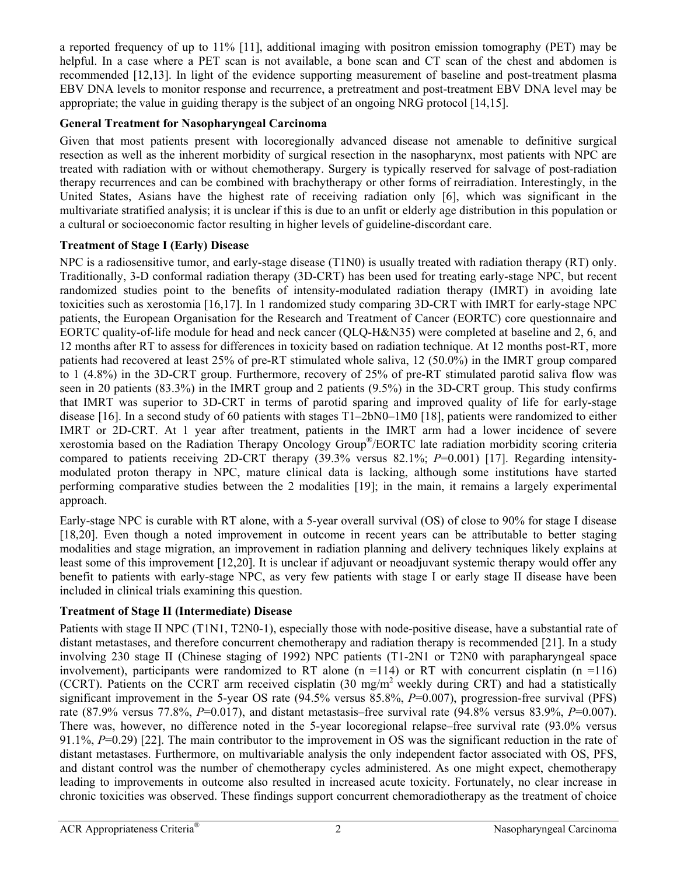a reported frequency of up to 11% [11], additional imaging with positron emission tomography (PET) may be helpful. In a case where a PET scan is not available, a bone scan and CT scan of the chest and abdomen is recommended [12,13]. In light of the evidence supporting measurement of baseline and post-treatment plasma EBV DNA levels to monitor response and recurrence, a pretreatment and post-treatment EBV DNA level may be appropriate; the value in guiding therapy is the subject of an ongoing NRG protocol [14,15].

### **General Treatment for Nasopharyngeal Carcinoma**

Given that most patients present with locoregionally advanced disease not amenable to definitive surgical resection as well as the inherent morbidity of surgical resection in the nasopharynx, most patients with NPC are treated with radiation with or without chemotherapy. Surgery is typically reserved for salvage of post-radiation therapy recurrences and can be combined with brachytherapy or other forms of reirradiation. Interestingly, in the United States, Asians have the highest rate of receiving radiation only [6], which was significant in the multivariate stratified analysis; it is unclear if this is due to an unfit or elderly age distribution in this population or a cultural or socioeconomic factor resulting in higher levels of guideline-discordant care.

### **Treatment of Stage I (Early) Disease**

NPC is a radiosensitive tumor, and early-stage disease (T1N0) is usually treated with radiation therapy (RT) only. Traditionally, 3-D conformal radiation therapy (3D-CRT) has been used for treating early-stage NPC, but recent randomized studies point to the benefits of intensity-modulated radiation therapy (IMRT) in avoiding late toxicities such as xerostomia [16,17]. In 1 randomized study comparing 3D-CRT with IMRT for early-stage NPC patients, the European Organisation for the Research and Treatment of Cancer (EORTC) core questionnaire and EORTC quality-of-life module for head and neck cancer (QLQ-H&N35) were completed at baseline and 2, 6, and 12 months after RT to assess for differences in toxicity based on radiation technique. At 12 months post-RT, more patients had recovered at least 25% of pre-RT stimulated whole saliva, 12 (50.0%) in the IMRT group compared to 1 (4.8%) in the 3D-CRT group. Furthermore, recovery of 25% of pre-RT stimulated parotid saliva flow was seen in 20 patients (83.3%) in the IMRT group and 2 patients (9.5%) in the 3D-CRT group. This study confirms that IMRT was superior to 3D-CRT in terms of parotid sparing and improved quality of life for early-stage disease [16]. In a second study of 60 patients with stages T1–2bN0–1M0 [18], patients were randomized to either IMRT or 2D-CRT. At 1 year after treatment, patients in the IMRT arm had a lower incidence of severe xerostomia based on the Radiation Therapy Oncology Group®/EORTC late radiation morbidity scoring criteria compared to patients receiving 2D-CRT therapy (39.3% versus 82.1%; *P*=0.001) [17]. Regarding intensitymodulated proton therapy in NPC, mature clinical data is lacking, although some institutions have started performing comparative studies between the 2 modalities [19]; in the main, it remains a largely experimental approach.

Early-stage NPC is curable with RT alone, with a 5-year overall survival (OS) of close to 90% for stage I disease [18,20]. Even though a noted improvement in outcome in recent years can be attributable to better staging modalities and stage migration, an improvement in radiation planning and delivery techniques likely explains at least some of this improvement [12,20]. It is unclear if adjuvant or neoadjuvant systemic therapy would offer any benefit to patients with early-stage NPC, as very few patients with stage I or early stage II disease have been included in clinical trials examining this question.

# **Treatment of Stage II (Intermediate) Disease**

Patients with stage II NPC (T1N1, T2N0-1), especially those with node-positive disease, have a substantial rate of distant metastases, and therefore concurrent chemotherapy and radiation therapy is recommended [21]. In a study involving 230 stage II (Chinese staging of 1992) NPC patients (T1-2N1 or T2N0 with parapharyngeal space involvement), participants were randomized to RT alone (n =114) or RT with concurrent cisplatin (n =116) (CCRT). Patients on the CCRT arm received cisplatin (30 mg/m2 weekly during CRT) and had a statistically significant improvement in the 5-year OS rate (94.5% versus 85.8%,  $P=0.007$ ), progression-free survival (PFS) rate (87.9% versus 77.8%, *P*=0.017), and distant metastasis–free survival rate (94.8% versus 83.9%, *P*=0.007). There was, however, no difference noted in the 5-year locoregional relapse–free survival rate (93.0% versus 91.1%, *P*=0.29) [22]. The main contributor to the improvement in OS was the significant reduction in the rate of distant metastases. Furthermore, on multivariable analysis the only independent factor associated with OS, PFS, and distant control was the number of chemotherapy cycles administered. As one might expect, chemotherapy leading to improvements in outcome also resulted in increased acute toxicity. Fortunately, no clear increase in chronic toxicities was observed. These findings support concurrent chemoradiotherapy as the treatment of choice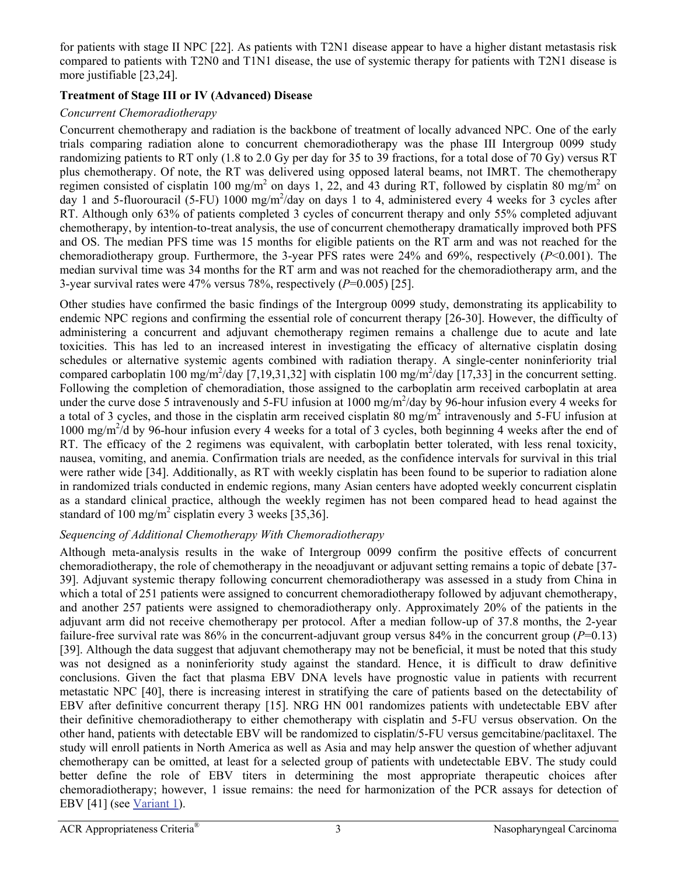for patients with stage II NPC [22]. As patients with T2N1 disease appear to have a higher distant metastasis risk compared to patients with T2N0 and T1N1 disease, the use of systemic therapy for patients with T2N1 disease is more justifiable [23,24].

## **Treatment of Stage III or IV (Advanced) Disease**

### *Concurrent Chemoradiotherapy*

Concurrent chemotherapy and radiation is the backbone of treatment of locally advanced NPC. One of the early trials comparing radiation alone to concurrent chemoradiotherapy was the phase III Intergroup 0099 study randomizing patients to RT only (1.8 to 2.0 Gy per day for 35 to 39 fractions, for a total dose of 70 Gy) versus RT plus chemotherapy. Of note, the RT was delivered using opposed lateral beams, not IMRT. The chemotherapy regimen consisted of cisplatin 100 mg/m<sup>2</sup> on days 1, 22, and 43 during RT, followed by cisplatin 80 mg/m<sup>2</sup> on day 1 and 5-fluorouracil (5-FU) 1000 mg/m<sup>2</sup>/day on days 1 to 4, administered every 4 weeks for 3 cycles after RT. Although only 63% of patients completed 3 cycles of concurrent therapy and only 55% completed adjuvant chemotherapy, by intention-to-treat analysis, the use of concurrent chemotherapy dramatically improved both PFS and OS. The median PFS time was 15 months for eligible patients on the RT arm and was not reached for the chemoradiotherapy group. Furthermore, the 3-year PFS rates were 24% and 69%, respectively (*P*<0.001). The median survival time was 34 months for the RT arm and was not reached for the chemoradiotherapy arm, and the 3-year survival rates were 47% versus 78%, respectively (*P*=0.005) [25].

Other studies have confirmed the basic findings of the Intergroup 0099 study, demonstrating its applicability to endemic NPC regions and confirming the essential role of concurrent therapy [26-30]. However, the difficulty of administering a concurrent and adjuvant chemotherapy regimen remains a challenge due to acute and late toxicities. This has led to an increased interest in investigating the efficacy of alternative cisplatin dosing schedules or alternative systemic agents combined with radiation therapy. A single-center noninferiority trial compared carboplatin 100 mg/m<sup>2</sup>/day [7,19,31,32] with cisplatin 100 mg/m<sup>2</sup>/day [17,33] in the concurrent setting. Following the completion of chemoradiation, those assigned to the carboplatin arm received carboplatin at area under the curve dose 5 intravenously and 5-FU infusion at 1000 mg/m<sup>2</sup>/day by 96-hour infusion every 4 weeks for a total of 3 cycles, and those in the cisplatin arm received cisplatin 80 mg/m<sup>2</sup> intravenously and 5-FU infusion at 1000 mg/m<sup>2</sup>/d by 96-hour infusion every 4 weeks for a total of 3 cycles, both beginning 4 weeks after the end of RT. The efficacy of the 2 regimens was equivalent, with carboplatin better tolerated, with less renal toxicity, nausea, vomiting, and anemia. Confirmation trials are needed, as the confidence intervals for survival in this trial were rather wide [34]. Additionally, as RT with weekly cisplatin has been found to be superior to radiation alone in randomized trials conducted in endemic regions, many Asian centers have adopted weekly concurrent cisplatin as a standard clinical practice, although the weekly regimen has not been compared head to head against the standard of 100 mg/m<sup>2</sup> cisplatin every  $\overline{3}$  weeks [35,36].

# *Sequencing of Additional Chemotherapy With Chemoradiotherapy*

Although meta-analysis results in the wake of Intergroup 0099 confirm the positive effects of concurrent chemoradiotherapy, the role of chemotherapy in the neoadjuvant or adjuvant setting remains a topic of debate [37- 39]. Adjuvant systemic therapy following concurrent chemoradiotherapy was assessed in a study from China in which a total of 251 patients were assigned to concurrent chemoradiotherapy followed by adjuvant chemotherapy, and another 257 patients were assigned to chemoradiotherapy only. Approximately 20% of the patients in the adjuvant arm did not receive chemotherapy per protocol. After a median follow-up of 37.8 months, the 2-year failure-free survival rate was 86% in the concurrent-adjuvant group versus 84% in the concurrent group (*P*=0.13) [39]. Although the data suggest that adjuvant chemotherapy may not be beneficial, it must be noted that this study was not designed as a noninferiority study against the standard. Hence, it is difficult to draw definitive conclusions. Given the fact that plasma EBV DNA levels have prognostic value in patients with recurrent metastatic NPC [40], there is increasing interest in stratifying the care of patients based on the detectability of EBV after definitive concurrent therapy [15]. NRG HN 001 randomizes patients with undetectable EBV after their definitive chemoradiotherapy to either chemotherapy with cisplatin and 5-FU versus observation. On the other hand, patients with detectable EBV will be randomized to cisplatin/5-FU versus gemcitabine/paclitaxel. The study will enroll patients in North America as well as Asia and may help answer the question of whether adjuvant chemotherapy can be omitted, at least for a selected group of patients with undetectable EBV. The study could better define the role of EBV titers in determining the most appropriate therapeutic choices after chemoradiotherapy; however, 1 issue remains: the need for harmonization of the PCR assays for detection of EBV [41] (see [Variant 1\)](#page-9-0).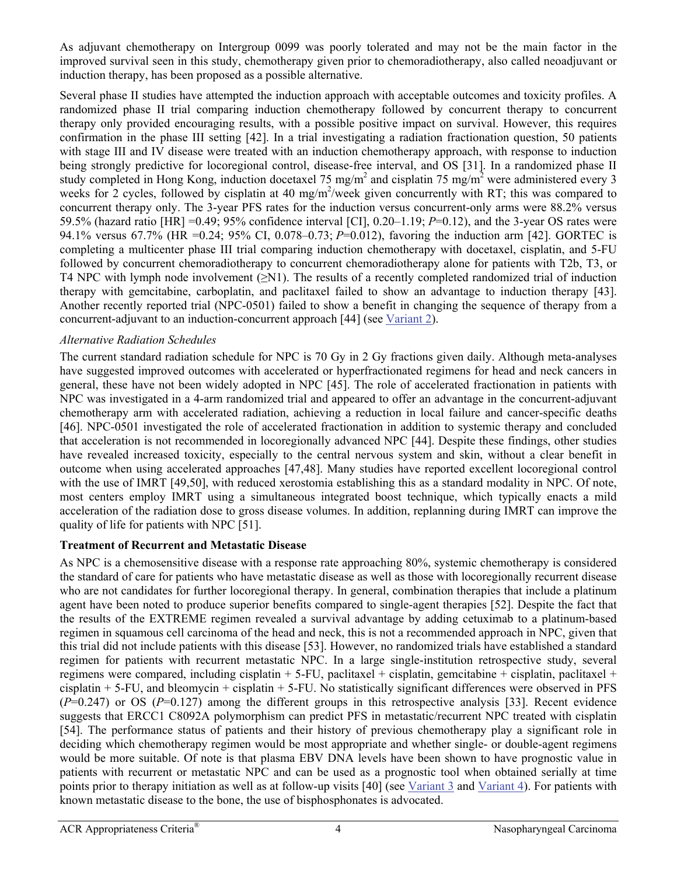As adjuvant chemotherapy on Intergroup 0099 was poorly tolerated and may not be the main factor in the improved survival seen in this study, chemotherapy given prior to chemoradiotherapy, also called neoadjuvant or induction therapy, has been proposed as a possible alternative.

Several phase II studies have attempted the induction approach with acceptable outcomes and toxicity profiles. A randomized phase II trial comparing induction chemotherapy followed by concurrent therapy to concurrent therapy only provided encouraging results, with a possible positive impact on survival. However, this requires confirmation in the phase III setting [42]. In a trial investigating a radiation fractionation question, 50 patients with stage III and IV disease were treated with an induction chemotherapy approach, with response to induction being strongly predictive for locoregional control, disease-free interval, and OS [31]. In a randomized phase II study completed in Hong Kong, induction docetaxel 75 mg/m<sup>2</sup> and cisplatin 75 mg/m<sup>2</sup> were administered every 3 weeks for 2 cycles, followed by cisplatin at 40 mg/m<sup>2</sup>/week given concurrently with RT; this was compared to concurrent therapy only. The 3-year PFS rates for the induction versus concurrent-only arms were 88.2% versus 59.5% (hazard ratio [HR] =0.49; 95% confidence interval [CI], 0.20–1.19; *P*=0.12), and the 3-year OS rates were 94.1% versus 67.7% (HR =0.24; 95% CI, 0.078–0.73; *P*=0.012), favoring the induction arm [42]. GORTEC is completing a multicenter phase III trial comparing induction chemotherapy with docetaxel, cisplatin, and 5-FU followed by concurrent chemoradiotherapy to concurrent chemoradiotherapy alone for patients with T2b, T3, or T4 NPC with lymph node involvement (≥N1). The results of a recently completed randomized trial of induction therapy with gemcitabine, carboplatin, and paclitaxel failed to show an advantage to induction therapy [43]. Another recently reported trial (NPC-0501) failed to show a benefit in changing the sequence of therapy from a concurrent-adjuvant to an induction-concurrent approach [44] (see [Variant 2](#page-9-0)).

### *Alternative Radiation Schedules*

The current standard radiation schedule for NPC is 70 Gy in 2 Gy fractions given daily. Although meta-analyses have suggested improved outcomes with accelerated or hyperfractionated regimens for head and neck cancers in general, these have not been widely adopted in NPC [45]. The role of accelerated fractionation in patients with NPC was investigated in a 4-arm randomized trial and appeared to offer an advantage in the concurrent-adjuvant chemotherapy arm with accelerated radiation, achieving a reduction in local failure and cancer-specific deaths [46]. NPC-0501 investigated the role of accelerated fractionation in addition to systemic therapy and concluded that acceleration is not recommended in locoregionally advanced NPC [44]. Despite these findings, other studies have revealed increased toxicity, especially to the central nervous system and skin, without a clear benefit in outcome when using accelerated approaches [47,48]. Many studies have reported excellent locoregional control with the use of IMRT [49,50], with reduced xerostomia establishing this as a standard modality in NPC. Of note, most centers employ IMRT using a simultaneous integrated boost technique, which typically enacts a mild acceleration of the radiation dose to gross disease volumes. In addition, replanning during IMRT can improve the quality of life for patients with NPC [51].

# **Treatment of Recurrent and Metastatic Disease**

As NPC is a chemosensitive disease with a response rate approaching 80%, systemic chemotherapy is considered the standard of care for patients who have metastatic disease as well as those with locoregionally recurrent disease who are not candidates for further locoregional therapy. In general, combination therapies that include a platinum agent have been noted to produce superior benefits compared to single-agent therapies [52]. Despite the fact that the results of the EXTREME regimen revealed a survival advantage by adding cetuximab to a platinum-based regimen in squamous cell carcinoma of the head and neck, this is not a recommended approach in NPC, given that this trial did not include patients with this disease [53]. However, no randomized trials have established a standard regimen for patients with recurrent metastatic NPC. In a large single-institution retrospective study, several regimens were compared, including cisplatin + 5-FU, paclitaxel + cisplatin, gemcitabine + cisplatin, paclitaxel + cisplatin + 5-FU, and bleomycin + cisplatin + 5-FU. No statistically significant differences were observed in PFS (*P*=0.247) or OS (*P*=0.127) among the different groups in this retrospective analysis [33]. Recent evidence suggests that ERCC1 C8092A polymorphism can predict PFS in metastatic/recurrent NPC treated with cisplatin [54]. The performance status of patients and their history of previous chemotherapy play a significant role in deciding which chemotherapy regimen would be most appropriate and whether single- or double-agent regimens would be more suitable. Of note is that plasma EBV DNA levels have been shown to have prognostic value in patients with recurrent or metastatic NPC and can be used as a prognostic tool when obtained serially at time points prior to therapy initiation as well as at follow-up visits [40] (see [Variant 3](#page-10-0) and [Variant 4\)](#page-11-0). For patients with known metastatic disease to the bone, the use of bisphosphonates is advocated.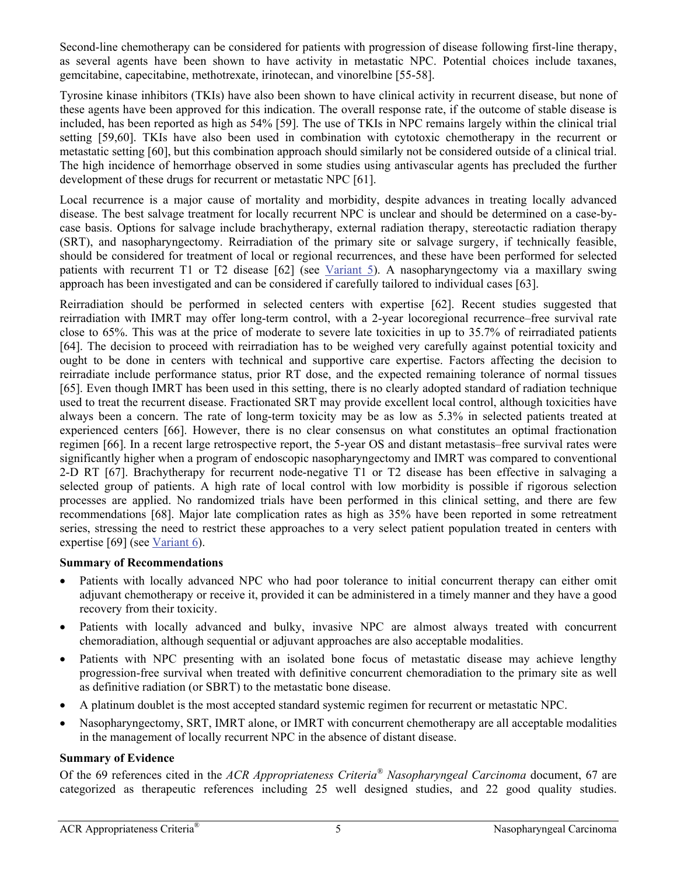Second-line chemotherapy can be considered for patients with progression of disease following first-line therapy, as several agents have been shown to have activity in metastatic NPC. Potential choices include taxanes, gemcitabine, capecitabine, methotrexate, irinotecan, and vinorelbine [55-58].

Tyrosine kinase inhibitors (TKIs) have also been shown to have clinical activity in recurrent disease, but none of these agents have been approved for this indication. The overall response rate, if the outcome of stable disease is included, has been reported as high as 54% [59]. The use of TKIs in NPC remains largely within the clinical trial setting [59,60]. TKIs have also been used in combination with cytotoxic chemotherapy in the recurrent or metastatic setting [60], but this combination approach should similarly not be considered outside of a clinical trial. The high incidence of hemorrhage observed in some studies using antivascular agents has precluded the further development of these drugs for recurrent or metastatic NPC [61].

Local recurrence is a major cause of mortality and morbidity, despite advances in treating locally advanced disease. The best salvage treatment for locally recurrent NPC is unclear and should be determined on a case-bycase basis. Options for salvage include brachytherapy, external radiation therapy, stereotactic radiation therapy (SRT), and nasopharyngectomy. Reirradiation of the primary site or salvage surgery, if technically feasible, should be considered for treatment of local or regional recurrences, and these have been performed for selected patients with recurrent T1 or T2 disease [62] (see [Variant 5\)](#page-11-0). A nasopharyngectomy via a maxillary swing approach has been investigated and can be considered if carefully tailored to individual cases [63].

Reirradiation should be performed in selected centers with expertise [62]. Recent studies suggested that reirradiation with IMRT may offer long-term control, with a 2-year locoregional recurrence–free survival rate close to 65%. This was at the price of moderate to severe late toxicities in up to 35.7% of reirradiated patients [64]. The decision to proceed with reirradiation has to be weighed very carefully against potential toxicity and ought to be done in centers with technical and supportive care expertise. Factors affecting the decision to reirradiate include performance status, prior RT dose, and the expected remaining tolerance of normal tissues [65]. Even though IMRT has been used in this setting, there is no clearly adopted standard of radiation technique used to treat the recurrent disease. Fractionated SRT may provide excellent local control, although toxicities have always been a concern. The rate of long-term toxicity may be as low as 5.3% in selected patients treated at experienced centers [66]. However, there is no clear consensus on what constitutes an optimal fractionation regimen [66]. In a recent large retrospective report, the 5-year OS and distant metastasis–free survival rates were significantly higher when a program of endoscopic nasopharyngectomy and IMRT was compared to conventional 2-D RT [67]. Brachytherapy for recurrent node-negative T1 or T2 disease has been effective in salvaging a selected group of patients. A high rate of local control with low morbidity is possible if rigorous selection processes are applied. No randomized trials have been performed in this clinical setting, and there are few recommendations [68]. Major late complication rates as high as 35% have been reported in some retreatment series, stressing the need to restrict these approaches to a very select patient population treated in centers with expertise [69] (see [Variant 6\).](#page-12-0)

#### **Summary of Recommendations**

- Patients with locally advanced NPC who had poor tolerance to initial concurrent therapy can either omit adjuvant chemotherapy or receive it, provided it can be administered in a timely manner and they have a good recovery from their toxicity.
- Patients with locally advanced and bulky, invasive NPC are almost always treated with concurrent chemoradiation, although sequential or adjuvant approaches are also acceptable modalities.
- Patients with NPC presenting with an isolated bone focus of metastatic disease may achieve lengthy progression-free survival when treated with definitive concurrent chemoradiation to the primary site as well as definitive radiation (or SBRT) to the metastatic bone disease.
- A platinum doublet is the most accepted standard systemic regimen for recurrent or metastatic NPC.
- Nasopharyngectomy, SRT, IMRT alone, or IMRT with concurrent chemotherapy are all acceptable modalities in the management of locally recurrent NPC in the absence of distant disease.

# **Summary of Evidence**

Of the 69 references cited in the *ACR Appropriateness Criteria® Nasopharyngeal Carcinoma* document, 67 are categorized as therapeutic references including 25 well designed studies, and 22 good quality studies.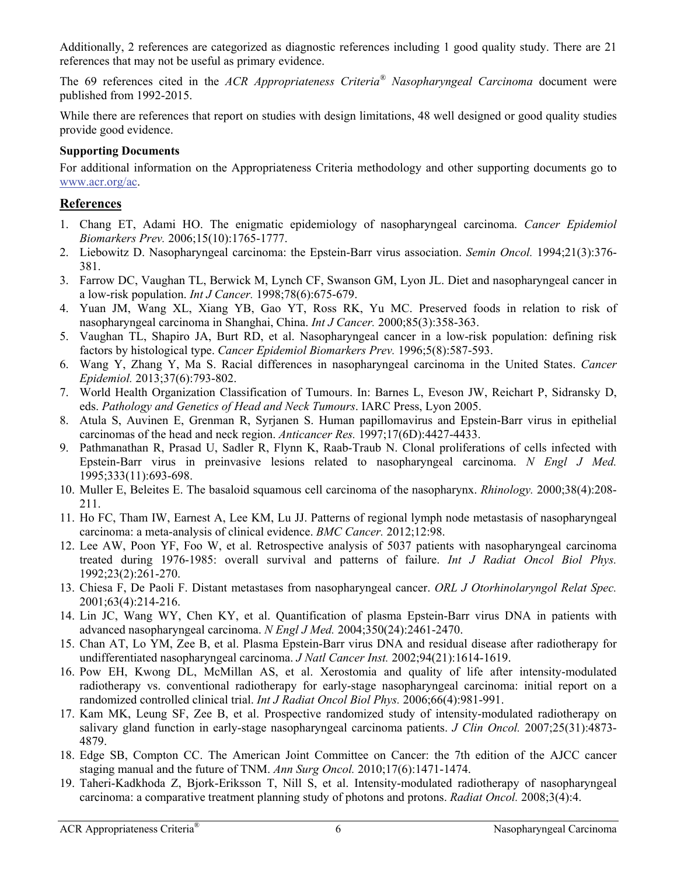Additionally, 2 references are categorized as diagnostic references including 1 good quality study. There are 21 references that may not be useful as primary evidence.

The 69 references cited in the *ACR Appropriateness Criteria® Nasopharyngeal Carcinoma* document were published from 1992-2015.

While there are references that report on studies with design limitations, 48 well designed or good quality studies provide good evidence.

## **Supporting Documents**

For additional information on the Appropriateness Criteria methodology and other supporting documents go to www.acr.org/ac.

# **References**

- 1. Chang ET, Adami HO. The enigmatic epidemiology of nasopharyngeal carcinoma. *Cancer Epidemiol Biomarkers Prev.* 2006;15(10):1765-1777.
- 2. Liebowitz D. Nasopharyngeal carcinoma: the Epstein-Barr virus association. *Semin Oncol.* 1994;21(3):376- 381.
- 3. Farrow DC, Vaughan TL, Berwick M, Lynch CF, Swanson GM, Lyon JL. Diet and nasopharyngeal cancer in a low-risk population. *Int J Cancer.* 1998;78(6):675-679.
- 4. Yuan JM, Wang XL, Xiang YB, Gao YT, Ross RK, Yu MC. Preserved foods in relation to risk of nasopharyngeal carcinoma in Shanghai, China. *Int J Cancer.* 2000;85(3):358-363.
- 5. Vaughan TL, Shapiro JA, Burt RD, et al. Nasopharyngeal cancer in a low-risk population: defining risk factors by histological type. *Cancer Epidemiol Biomarkers Prev.* 1996;5(8):587-593.
- 6. Wang Y, Zhang Y, Ma S. Racial differences in nasopharyngeal carcinoma in the United States. *Cancer Epidemiol.* 2013;37(6):793-802.
- 7. World Health Organization Classification of Tumours. In: Barnes L, Eveson JW, Reichart P, Sidransky D, eds. *Pathology and Genetics of Head and Neck Tumours*. IARC Press, Lyon 2005.
- 8. Atula S, Auvinen E, Grenman R, Syrjanen S. Human papillomavirus and Epstein-Barr virus in epithelial carcinomas of the head and neck region. *Anticancer Res.* 1997;17(6D):4427-4433.
- 9. Pathmanathan R, Prasad U, Sadler R, Flynn K, Raab-Traub N. Clonal proliferations of cells infected with Epstein-Barr virus in preinvasive lesions related to nasopharyngeal carcinoma. *N Engl J Med.*  1995;333(11):693-698.
- 10. Muller E, Beleites E. The basaloid squamous cell carcinoma of the nasopharynx. *Rhinology.* 2000;38(4):208- 211.
- 11. Ho FC, Tham IW, Earnest A, Lee KM, Lu JJ. Patterns of regional lymph node metastasis of nasopharyngeal carcinoma: a meta-analysis of clinical evidence. *BMC Cancer.* 2012;12:98.
- 12. Lee AW, Poon YF, Foo W, et al. Retrospective analysis of 5037 patients with nasopharyngeal carcinoma treated during 1976-1985: overall survival and patterns of failure. *Int J Radiat Oncol Biol Phys.*  1992;23(2):261-270.
- 13. Chiesa F, De Paoli F. Distant metastases from nasopharyngeal cancer. *ORL J Otorhinolaryngol Relat Spec.*  2001;63(4):214-216.
- 14. Lin JC, Wang WY, Chen KY, et al. Quantification of plasma Epstein-Barr virus DNA in patients with advanced nasopharyngeal carcinoma. *N Engl J Med.* 2004;350(24):2461-2470.
- 15. Chan AT, Lo YM, Zee B, et al. Plasma Epstein-Barr virus DNA and residual disease after radiotherapy for undifferentiated nasopharyngeal carcinoma. *J Natl Cancer Inst.* 2002;94(21):1614-1619.
- 16. Pow EH, Kwong DL, McMillan AS, et al. Xerostomia and quality of life after intensity-modulated radiotherapy vs. conventional radiotherapy for early-stage nasopharyngeal carcinoma: initial report on a randomized controlled clinical trial. *Int J Radiat Oncol Biol Phys.* 2006;66(4):981-991.
- 17. Kam MK, Leung SF, Zee B, et al. Prospective randomized study of intensity-modulated radiotherapy on salivary gland function in early-stage nasopharyngeal carcinoma patients. *J Clin Oncol.* 2007;25(31):4873- 4879.
- 18. Edge SB, Compton CC. The American Joint Committee on Cancer: the 7th edition of the AJCC cancer staging manual and the future of TNM. *Ann Surg Oncol.* 2010;17(6):1471-1474.
- 19. Taheri-Kadkhoda Z, Bjork-Eriksson T, Nill S, et al. Intensity-modulated radiotherapy of nasopharyngeal carcinoma: a comparative treatment planning study of photons and protons. *Radiat Oncol.* 2008;3(4):4.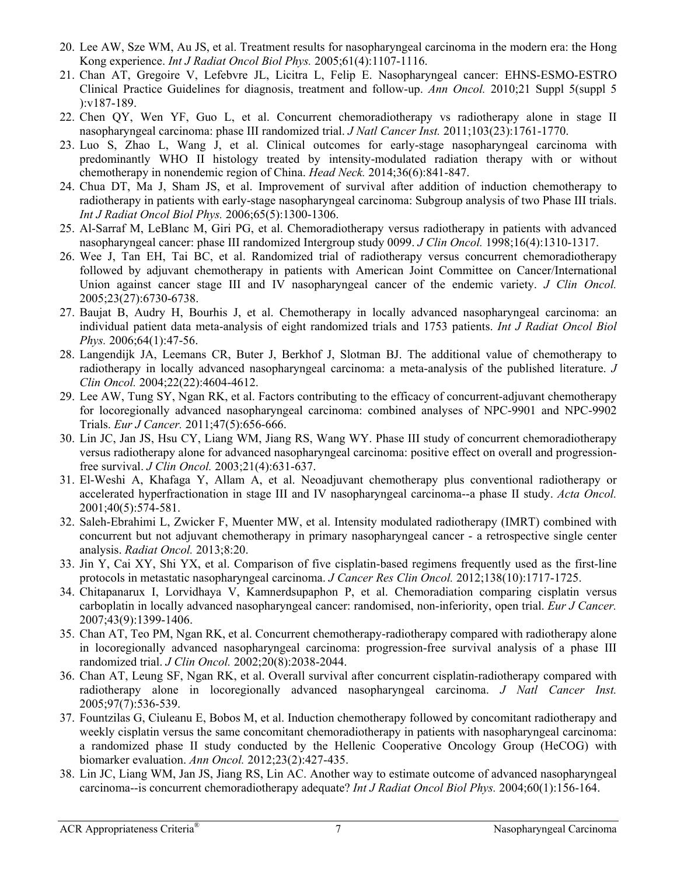- 20. Lee AW, Sze WM, Au JS, et al. Treatment results for nasopharyngeal carcinoma in the modern era: the Hong Kong experience. *Int J Radiat Oncol Biol Phys.* 2005;61(4):1107-1116.
- 21. Chan AT, Gregoire V, Lefebvre JL, Licitra L, Felip E. Nasopharyngeal cancer: EHNS-ESMO-ESTRO Clinical Practice Guidelines for diagnosis, treatment and follow-up. *Ann Oncol.* 2010;21 Suppl 5(suppl 5 ):v187-189.
- 22. Chen QY, Wen YF, Guo L, et al. Concurrent chemoradiotherapy vs radiotherapy alone in stage II nasopharyngeal carcinoma: phase III randomized trial. *J Natl Cancer Inst.* 2011;103(23):1761-1770.
- 23. Luo S, Zhao L, Wang J, et al. Clinical outcomes for early-stage nasopharyngeal carcinoma with predominantly WHO II histology treated by intensity-modulated radiation therapy with or without chemotherapy in nonendemic region of China. *Head Neck.* 2014;36(6):841-847.
- 24. Chua DT, Ma J, Sham JS, et al. Improvement of survival after addition of induction chemotherapy to radiotherapy in patients with early-stage nasopharyngeal carcinoma: Subgroup analysis of two Phase III trials. *Int J Radiat Oncol Biol Phys.* 2006;65(5):1300-1306.
- 25. Al-Sarraf M, LeBlanc M, Giri PG, et al. Chemoradiotherapy versus radiotherapy in patients with advanced nasopharyngeal cancer: phase III randomized Intergroup study 0099. *J Clin Oncol.* 1998;16(4):1310-1317.
- 26. Wee J, Tan EH, Tai BC, et al. Randomized trial of radiotherapy versus concurrent chemoradiotherapy followed by adjuvant chemotherapy in patients with American Joint Committee on Cancer/International Union against cancer stage III and IV nasopharyngeal cancer of the endemic variety. *J Clin Oncol.*  2005;23(27):6730-6738.
- 27. Baujat B, Audry H, Bourhis J, et al. Chemotherapy in locally advanced nasopharyngeal carcinoma: an individual patient data meta-analysis of eight randomized trials and 1753 patients. *Int J Radiat Oncol Biol Phys.* 2006;64(1):47-56.
- 28. Langendijk JA, Leemans CR, Buter J, Berkhof J, Slotman BJ. The additional value of chemotherapy to radiotherapy in locally advanced nasopharyngeal carcinoma: a meta-analysis of the published literature. *J Clin Oncol.* 2004;22(22):4604-4612.
- 29. Lee AW, Tung SY, Ngan RK, et al. Factors contributing to the efficacy of concurrent-adjuvant chemotherapy for locoregionally advanced nasopharyngeal carcinoma: combined analyses of NPC-9901 and NPC-9902 Trials. *Eur J Cancer.* 2011;47(5):656-666.
- 30. Lin JC, Jan JS, Hsu CY, Liang WM, Jiang RS, Wang WY. Phase III study of concurrent chemoradiotherapy versus radiotherapy alone for advanced nasopharyngeal carcinoma: positive effect on overall and progressionfree survival. *J Clin Oncol.* 2003;21(4):631-637.
- 31. El-Weshi A, Khafaga Y, Allam A, et al. Neoadjuvant chemotherapy plus conventional radiotherapy or accelerated hyperfractionation in stage III and IV nasopharyngeal carcinoma--a phase II study. *Acta Oncol.*  2001;40(5):574-581.
- 32. Saleh-Ebrahimi L, Zwicker F, Muenter MW, et al. Intensity modulated radiotherapy (IMRT) combined with concurrent but not adjuvant chemotherapy in primary nasopharyngeal cancer - a retrospective single center analysis. *Radiat Oncol.* 2013;8:20.
- 33. Jin Y, Cai XY, Shi YX, et al. Comparison of five cisplatin-based regimens frequently used as the first-line protocols in metastatic nasopharyngeal carcinoma. *J Cancer Res Clin Oncol.* 2012;138(10):1717-1725.
- 34. Chitapanarux I, Lorvidhaya V, Kamnerdsupaphon P, et al. Chemoradiation comparing cisplatin versus carboplatin in locally advanced nasopharyngeal cancer: randomised, non-inferiority, open trial. *Eur J Cancer.*  2007;43(9):1399-1406.
- 35. Chan AT, Teo PM, Ngan RK, et al. Concurrent chemotherapy-radiotherapy compared with radiotherapy alone in locoregionally advanced nasopharyngeal carcinoma: progression-free survival analysis of a phase III randomized trial. *J Clin Oncol.* 2002;20(8):2038-2044.
- 36. Chan AT, Leung SF, Ngan RK, et al. Overall survival after concurrent cisplatin-radiotherapy compared with radiotherapy alone in locoregionally advanced nasopharyngeal carcinoma. *J Natl Cancer Inst.*  2005;97(7):536-539.
- 37. Fountzilas G, Ciuleanu E, Bobos M, et al. Induction chemotherapy followed by concomitant radiotherapy and weekly cisplatin versus the same concomitant chemoradiotherapy in patients with nasopharyngeal carcinoma: a randomized phase II study conducted by the Hellenic Cooperative Oncology Group (HeCOG) with biomarker evaluation. *Ann Oncol.* 2012;23(2):427-435.
- 38. Lin JC, Liang WM, Jan JS, Jiang RS, Lin AC. Another way to estimate outcome of advanced nasopharyngeal carcinoma--is concurrent chemoradiotherapy adequate? *Int J Radiat Oncol Biol Phys.* 2004;60(1):156-164.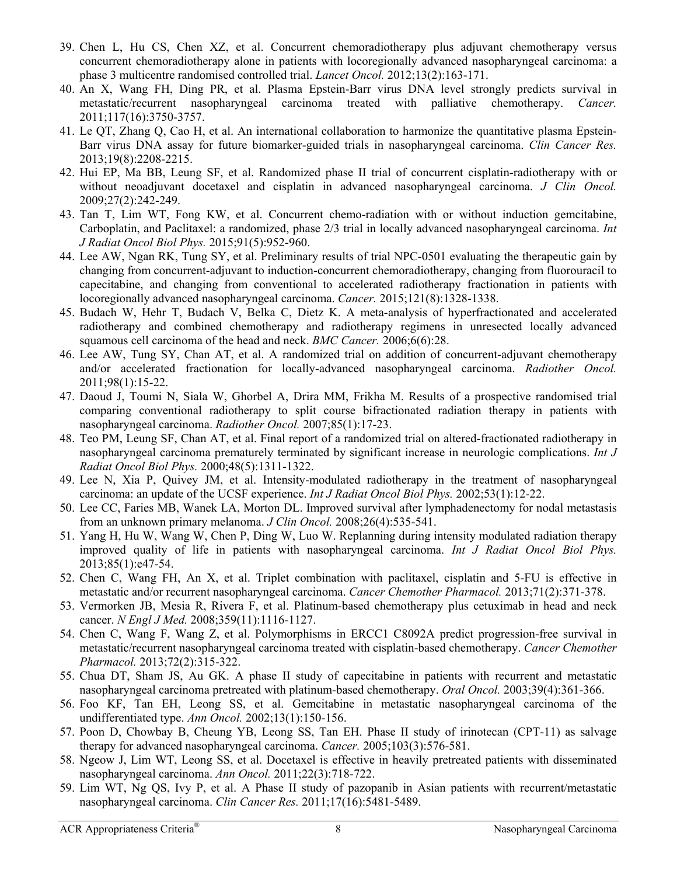- 39. Chen L, Hu CS, Chen XZ, et al. Concurrent chemoradiotherapy plus adjuvant chemotherapy versus concurrent chemoradiotherapy alone in patients with locoregionally advanced nasopharyngeal carcinoma: a phase 3 multicentre randomised controlled trial. *Lancet Oncol.* 2012;13(2):163-171.
- 40. An X, Wang FH, Ding PR, et al. Plasma Epstein-Barr virus DNA level strongly predicts survival in metastatic/recurrent nasopharyngeal carcinoma treated with palliative chemotherapy. *Cancer.*  2011;117(16):3750-3757.
- 41. Le QT, Zhang Q, Cao H, et al. An international collaboration to harmonize the quantitative plasma Epstein-Barr virus DNA assay for future biomarker-guided trials in nasopharyngeal carcinoma. *Clin Cancer Res.*  2013;19(8):2208-2215.
- 42. Hui EP, Ma BB, Leung SF, et al. Randomized phase II trial of concurrent cisplatin-radiotherapy with or without neoadjuvant docetaxel and cisplatin in advanced nasopharyngeal carcinoma. *J Clin Oncol.*  2009;27(2):242-249.
- 43. Tan T, Lim WT, Fong KW, et al. Concurrent chemo-radiation with or without induction gemcitabine, Carboplatin, and Paclitaxel: a randomized, phase 2/3 trial in locally advanced nasopharyngeal carcinoma. *Int J Radiat Oncol Biol Phys.* 2015;91(5):952-960.
- 44. Lee AW, Ngan RK, Tung SY, et al. Preliminary results of trial NPC-0501 evaluating the therapeutic gain by changing from concurrent-adjuvant to induction-concurrent chemoradiotherapy, changing from fluorouracil to capecitabine, and changing from conventional to accelerated radiotherapy fractionation in patients with locoregionally advanced nasopharyngeal carcinoma. *Cancer.* 2015;121(8):1328-1338.
- 45. Budach W, Hehr T, Budach V, Belka C, Dietz K. A meta-analysis of hyperfractionated and accelerated radiotherapy and combined chemotherapy and radiotherapy regimens in unresected locally advanced squamous cell carcinoma of the head and neck. *BMC Cancer.* 2006;6(6):28.
- 46. Lee AW, Tung SY, Chan AT, et al. A randomized trial on addition of concurrent-adjuvant chemotherapy and/or accelerated fractionation for locally-advanced nasopharyngeal carcinoma. *Radiother Oncol.*  2011;98(1):15-22.
- 47. Daoud J, Toumi N, Siala W, Ghorbel A, Drira MM, Frikha M. Results of a prospective randomised trial comparing conventional radiotherapy to split course bifractionated radiation therapy in patients with nasopharyngeal carcinoma. *Radiother Oncol.* 2007;85(1):17-23.
- 48. Teo PM, Leung SF, Chan AT, et al. Final report of a randomized trial on altered-fractionated radiotherapy in nasopharyngeal carcinoma prematurely terminated by significant increase in neurologic complications. *Int J Radiat Oncol Biol Phys.* 2000;48(5):1311-1322.
- 49. Lee N, Xia P, Quivey JM, et al. Intensity-modulated radiotherapy in the treatment of nasopharyngeal carcinoma: an update of the UCSF experience. *Int J Radiat Oncol Biol Phys.* 2002;53(1):12-22.
- 50. Lee CC, Faries MB, Wanek LA, Morton DL. Improved survival after lymphadenectomy for nodal metastasis from an unknown primary melanoma. *J Clin Oncol.* 2008;26(4):535-541.
- 51. Yang H, Hu W, Wang W, Chen P, Ding W, Luo W. Replanning during intensity modulated radiation therapy improved quality of life in patients with nasopharyngeal carcinoma. *Int J Radiat Oncol Biol Phys.*  2013;85(1):e47-54.
- 52. Chen C, Wang FH, An X, et al. Triplet combination with paclitaxel, cisplatin and 5-FU is effective in metastatic and/or recurrent nasopharyngeal carcinoma. *Cancer Chemother Pharmacol.* 2013;71(2):371-378.
- 53. Vermorken JB, Mesia R, Rivera F, et al. Platinum-based chemotherapy plus cetuximab in head and neck cancer. *N Engl J Med.* 2008;359(11):1116-1127.
- 54. Chen C, Wang F, Wang Z, et al. Polymorphisms in ERCC1 C8092A predict progression-free survival in metastatic/recurrent nasopharyngeal carcinoma treated with cisplatin-based chemotherapy. *Cancer Chemother Pharmacol.* 2013;72(2):315-322.
- 55. Chua DT, Sham JS, Au GK. A phase II study of capecitabine in patients with recurrent and metastatic nasopharyngeal carcinoma pretreated with platinum-based chemotherapy. *Oral Oncol.* 2003;39(4):361-366.
- 56. Foo KF, Tan EH, Leong SS, et al. Gemcitabine in metastatic nasopharyngeal carcinoma of the undifferentiated type. *Ann Oncol.* 2002;13(1):150-156.
- 57. Poon D, Chowbay B, Cheung YB, Leong SS, Tan EH. Phase II study of irinotecan (CPT-11) as salvage therapy for advanced nasopharyngeal carcinoma. *Cancer.* 2005;103(3):576-581.
- 58. Ngeow J, Lim WT, Leong SS, et al. Docetaxel is effective in heavily pretreated patients with disseminated nasopharyngeal carcinoma. *Ann Oncol.* 2011;22(3):718-722.
- 59. Lim WT, Ng QS, Ivy P, et al. A Phase II study of pazopanib in Asian patients with recurrent/metastatic nasopharyngeal carcinoma. *Clin Cancer Res.* 2011;17(16):5481-5489.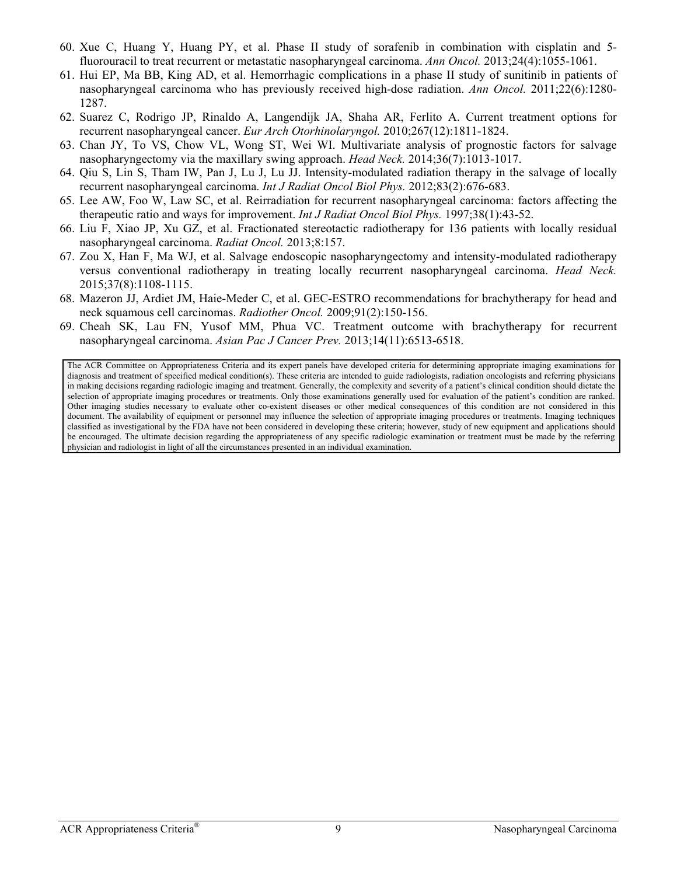- 60. Xue C, Huang Y, Huang PY, et al. Phase II study of sorafenib in combination with cisplatin and 5 fluorouracil to treat recurrent or metastatic nasopharyngeal carcinoma. *Ann Oncol.* 2013;24(4):1055-1061.
- 61. Hui EP, Ma BB, King AD, et al. Hemorrhagic complications in a phase II study of sunitinib in patients of nasopharyngeal carcinoma who has previously received high-dose radiation. *Ann Oncol.* 2011;22(6):1280- 1287.
- 62. Suarez C, Rodrigo JP, Rinaldo A, Langendijk JA, Shaha AR, Ferlito A. Current treatment options for recurrent nasopharyngeal cancer. *Eur Arch Otorhinolaryngol.* 2010;267(12):1811-1824.
- 63. Chan JY, To VS, Chow VL, Wong ST, Wei WI. Multivariate analysis of prognostic factors for salvage nasopharyngectomy via the maxillary swing approach. *Head Neck.* 2014;36(7):1013-1017.
- 64. Qiu S, Lin S, Tham IW, Pan J, Lu J, Lu JJ. Intensity-modulated radiation therapy in the salvage of locally recurrent nasopharyngeal carcinoma. *Int J Radiat Oncol Biol Phys.* 2012;83(2):676-683.
- 65. Lee AW, Foo W, Law SC, et al. Reirradiation for recurrent nasopharyngeal carcinoma: factors affecting the therapeutic ratio and ways for improvement. *Int J Radiat Oncol Biol Phys.* 1997;38(1):43-52.
- 66. Liu F, Xiao JP, Xu GZ, et al. Fractionated stereotactic radiotherapy for 136 patients with locally residual nasopharyngeal carcinoma. *Radiat Oncol.* 2013;8:157.
- 67. Zou X, Han F, Ma WJ, et al. Salvage endoscopic nasopharyngectomy and intensity-modulated radiotherapy versus conventional radiotherapy in treating locally recurrent nasopharyngeal carcinoma. *Head Neck.*  2015;37(8):1108-1115.
- 68. Mazeron JJ, Ardiet JM, Haie-Meder C, et al. GEC-ESTRO recommendations for brachytherapy for head and neck squamous cell carcinomas. *Radiother Oncol.* 2009;91(2):150-156.
- 69. Cheah SK, Lau FN, Yusof MM, Phua VC. Treatment outcome with brachytherapy for recurrent nasopharyngeal carcinoma. *Asian Pac J Cancer Prev.* 2013;14(11):6513-6518.

The ACR Committee on Appropriateness Criteria and its expert panels have developed criteria for determining appropriate imaging examinations for diagnosis and treatment of specified medical condition(s). These criteria are intended to guide radiologists, radiation oncologists and referring physicians in making decisions regarding radiologic imaging and treatment. Generally, the complexity and severity of a patient's clinical condition should dictate the selection of appropriate imaging procedures or treatments. Only those examinations generally used for evaluation of the patient's condition are ranked. Other imaging studies necessary to evaluate other co-existent diseases or other medical consequences of this condition are not considered in this document. The availability of equipment or personnel may influence the selection of appropriate imaging procedures or treatments. Imaging techniques classified as investigational by the FDA have not been considered in developing these criteria; however, study of new equipment and applications should be encouraged. The ultimate decision regarding the appropriateness of any specific radiologic examination or treatment must be made by the referring physician and radiologist in light of all the circumstances presented in an individual examination.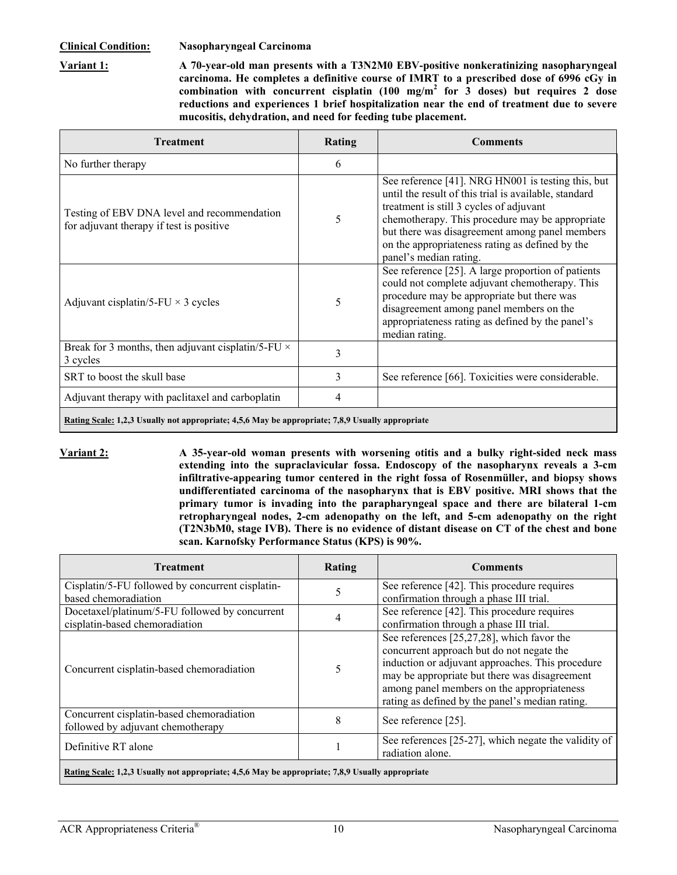<span id="page-9-0"></span>**Variant 1: A 70-year-old man presents with a T3N2M0 EBV-positive nonkeratinizing nasopharyngeal carcinoma. He completes a definitive course of IMRT to a prescribed dose of 6996 cGy in**  combination with concurrent cisplatin  $(100 \text{ mg/m}^2 \text{ for } 3 \text{ doses})$  but requires 2 dose **reductions and experiences 1 brief hospitalization near the end of treatment due to severe mucositis, dehydration, and need for feeding tube placement.** 

| Treatment                                                                                        | Rating | <b>Comments</b>                                                                                                                                                                                                                                                                                                                          |
|--------------------------------------------------------------------------------------------------|--------|------------------------------------------------------------------------------------------------------------------------------------------------------------------------------------------------------------------------------------------------------------------------------------------------------------------------------------------|
| No further therapy                                                                               | 6      |                                                                                                                                                                                                                                                                                                                                          |
| Testing of EBV DNA level and recommendation<br>for adjuvant therapy if test is positive          | 5      | See reference [41]. NRG HN001 is testing this, but<br>until the result of this trial is available, standard<br>treatment is still 3 cycles of adjuvant<br>chemotherapy. This procedure may be appropriate<br>but there was disagreement among panel members<br>on the appropriateness rating as defined by the<br>panel's median rating. |
| Adjuvant cisplatin/5-FU $\times$ 3 cycles                                                        | 5      | See reference [25]. A large proportion of patients<br>could not complete adjuvant chemotherapy. This<br>procedure may be appropriate but there was<br>disagreement among panel members on the<br>appropriateness rating as defined by the panel's<br>median rating.                                                                      |
| Break for 3 months, then adjuvant cisplatin/5-FU $\times$<br>3 cycles                            | 3      |                                                                                                                                                                                                                                                                                                                                          |
| SRT to boost the skull base                                                                      | 3      | See reference [66]. Toxicities were considerable.                                                                                                                                                                                                                                                                                        |
| Adjuvant therapy with paclitaxel and carboplatin                                                 | 4      |                                                                                                                                                                                                                                                                                                                                          |
| Rating Scale: 1,2,3 Usually not appropriate; 4,5,6 May be appropriate; 7,8,9 Usually appropriate |        |                                                                                                                                                                                                                                                                                                                                          |

**Variant 2: A 35-year-old woman presents with worsening otitis and a bulky right-sided neck mass extending into the supraclavicular fossa. Endoscopy of the nasopharynx reveals a 3-cm infiltrative-appearing tumor centered in the right fossa of Rosenmüller, and biopsy shows undifferentiated carcinoma of the nasopharynx that is EBV positive. MRI shows that the primary tumor is invading into the parapharyngeal space and there are bilateral 1-cm retropharyngeal nodes, 2-cm adenopathy on the left, and 5-cm adenopathy on the right (T2N3bM0, stage IVB). There is no evidence of distant disease on CT of the chest and bone scan. Karnofsky Performance Status (KPS) is 90%.** 

| <b>Treatment</b>                                                                 | Rating | <b>Comments</b>                                                                                                                                                                                                                                                                               |
|----------------------------------------------------------------------------------|--------|-----------------------------------------------------------------------------------------------------------------------------------------------------------------------------------------------------------------------------------------------------------------------------------------------|
| Cisplatin/5-FU followed by concurrent cisplatin-<br>based chemoradiation         |        | See reference [42]. This procedure requires<br>confirmation through a phase III trial.                                                                                                                                                                                                        |
| Docetaxel/platinum/5-FU followed by concurrent<br>cisplatin-based chemoradiation | 4      | See reference [42]. This procedure requires<br>confirmation through a phase III trial.                                                                                                                                                                                                        |
| Concurrent cisplatin-based chemoradiation                                        |        | See references [25,27,28], which favor the<br>concurrent approach but do not negate the<br>induction or adjuvant approaches. This procedure<br>may be appropriate but there was disagreement<br>among panel members on the appropriateness<br>rating as defined by the panel's median rating. |
| Concurrent cisplatin-based chemoradiation<br>followed by adjuvant chemotherapy   | 8      | See reference [25].                                                                                                                                                                                                                                                                           |
| Definitive RT alone                                                              |        | See references [25-27], which negate the validity of<br>radiation alone.                                                                                                                                                                                                                      |
|                                                                                  |        |                                                                                                                                                                                                                                                                                               |

**Rating Scale: 1,2,3 Usually not appropriate; 4,5,6 May be appropriate; 7,8,9 Usually appropriate**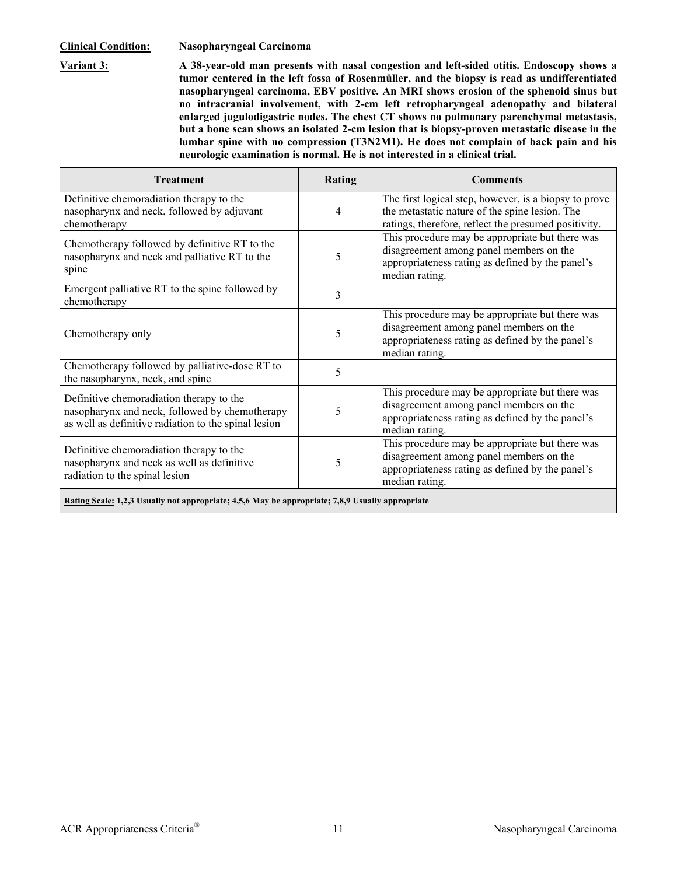<span id="page-10-0"></span>**Variant 3: A 38-year-old man presents with nasal congestion and left-sided otitis. Endoscopy shows a tumor centered in the left fossa of Rosenmüller, and the biopsy is read as undifferentiated nasopharyngeal carcinoma, EBV positive. An MRI shows erosion of the sphenoid sinus but no intracranial involvement, with 2-cm left retropharyngeal adenopathy and bilateral enlarged jugulodigastric nodes. The chest CT shows no pulmonary parenchymal metastasis, but a bone scan shows an isolated 2-cm lesion that is biopsy-proven metastatic disease in the lumbar spine with no compression (T3N2M1). He does not complain of back pain and his neurologic examination is normal. He is not interested in a clinical trial.** 

| <b>Treatment</b>                                                                                                                                   | <b>Rating</b> | <b>Comments</b>                                                                                                                                                  |
|----------------------------------------------------------------------------------------------------------------------------------------------------|---------------|------------------------------------------------------------------------------------------------------------------------------------------------------------------|
| Definitive chemoradiation therapy to the<br>nasopharynx and neck, followed by adjuvant<br>chemotherapy                                             | 4             | The first logical step, however, is a biopsy to prove<br>the metastatic nature of the spine lesion. The<br>ratings, therefore, reflect the presumed positivity.  |
| Chemotherapy followed by definitive RT to the<br>nasopharynx and neck and palliative RT to the<br>spine                                            | 5             | This procedure may be appropriate but there was<br>disagreement among panel members on the<br>appropriateness rating as defined by the panel's<br>median rating. |
| Emergent palliative RT to the spine followed by<br>chemotherapy                                                                                    | 3             |                                                                                                                                                                  |
| Chemotherapy only                                                                                                                                  | 5             | This procedure may be appropriate but there was<br>disagreement among panel members on the<br>appropriateness rating as defined by the panel's<br>median rating. |
| Chemotherapy followed by palliative-dose RT to<br>the nasopharynx, neck, and spine                                                                 | 5             |                                                                                                                                                                  |
| Definitive chemoradiation therapy to the<br>nasopharynx and neck, followed by chemotherapy<br>as well as definitive radiation to the spinal lesion | 5             | This procedure may be appropriate but there was<br>disagreement among panel members on the<br>appropriateness rating as defined by the panel's<br>median rating. |
| Definitive chemoradiation therapy to the<br>nasopharynx and neck as well as definitive<br>radiation to the spinal lesion                           | 5             | This procedure may be appropriate but there was<br>disagreement among panel members on the<br>appropriateness rating as defined by the panel's<br>median rating. |
| Rating Scale: 1,2,3 Usually not appropriate; 4,5,6 May be appropriate; 7,8,9 Usually appropriate                                                   |               |                                                                                                                                                                  |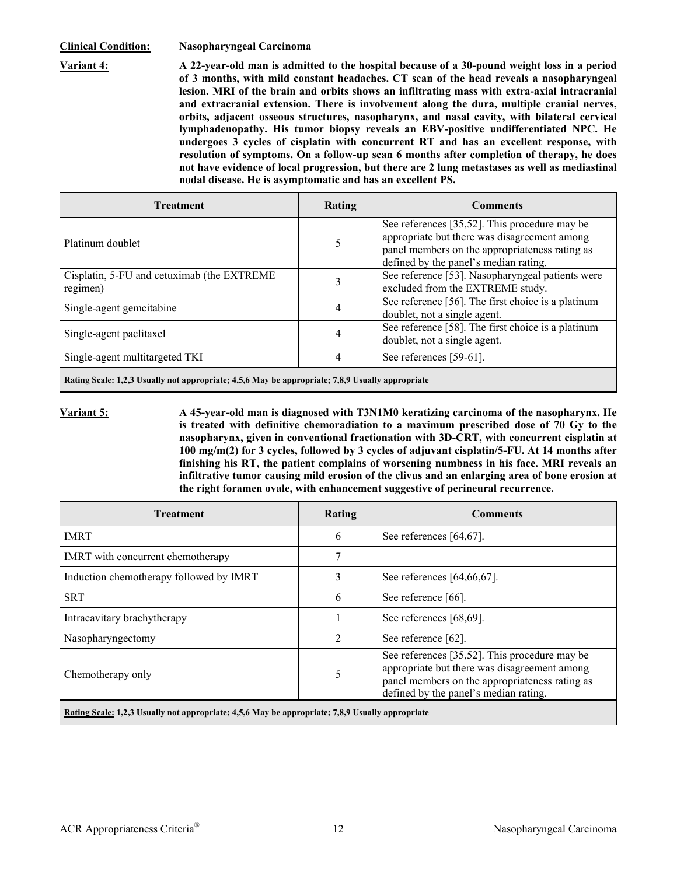<span id="page-11-0"></span>**Variant 4: A 22-year-old man is admitted to the hospital because of a 30-pound weight loss in a period of 3 months, with mild constant headaches. CT scan of the head reveals a nasopharyngeal lesion. MRI of the brain and orbits shows an infiltrating mass with extra-axial intracranial and extracranial extension. There is involvement along the dura, multiple cranial nerves, orbits, adjacent osseous structures, nasopharynx, and nasal cavity, with bilateral cervical lymphadenopathy. His tumor biopsy reveals an EBV-positive undifferentiated NPC. He undergoes 3 cycles of cisplatin with concurrent RT and has an excellent response, with resolution of symptoms. On a follow-up scan 6 months after completion of therapy, he does not have evidence of local progression, but there are 2 lung metastases as well as mediastinal nodal disease. He is asymptomatic and has an excellent PS.** 

| <b>Treatment</b>                                       | Rating | <b>Comments</b>                                                                                                                                                                          |
|--------------------------------------------------------|--------|------------------------------------------------------------------------------------------------------------------------------------------------------------------------------------------|
| Platinum doublet                                       |        | See references [35,52]. This procedure may be<br>appropriate but there was disagreement among<br>panel members on the appropriateness rating as<br>defined by the panel's median rating. |
| Cisplatin, 5-FU and cetuximab (the EXTREME<br>regimen) |        | See reference [53]. Nasopharyngeal patients were<br>excluded from the EXTREME study.                                                                                                     |
| Single-agent gemcitabine                               |        | See reference [56]. The first choice is a platinum<br>doublet, not a single agent.                                                                                                       |
| Single-agent paclitaxel                                |        | See reference [58]. The first choice is a platinum<br>doublet, not a single agent.                                                                                                       |
| Single-agent multitargeted TKI                         |        | See references [59-61].                                                                                                                                                                  |
|                                                        |        |                                                                                                                                                                                          |

**Rating Scale: 1,2,3 Usually not appropriate; 4,5,6 May be appropriate; 7,8,9 Usually appropriate** 

**Variant 5: A 45-year-old man is diagnosed with T3N1M0 keratizing carcinoma of the nasopharynx. He is treated with definitive chemoradiation to a maximum prescribed dose of 70 Gy to the nasopharynx, given in conventional fractionation with 3D-CRT, with concurrent cisplatin at 100 mg/m(2) for 3 cycles, followed by 3 cycles of adjuvant cisplatin/5-FU. At 14 months after finishing his RT, the patient complains of worsening numbness in his face. MRI reveals an infiltrative tumor causing mild erosion of the clivus and an enlarging area of bone erosion at the right foramen ovale, with enhancement suggestive of perineural recurrence.** 

| Rating | <b>Comments</b>                                                                                                                                                                          |
|--------|------------------------------------------------------------------------------------------------------------------------------------------------------------------------------------------|
| 6      | See references $[64, 67]$ .                                                                                                                                                              |
|        |                                                                                                                                                                                          |
| 3      | See references [64,66,67].                                                                                                                                                               |
| 6      | See reference [66].                                                                                                                                                                      |
|        | See references [68,69].                                                                                                                                                                  |
|        | See reference [62].                                                                                                                                                                      |
| 5      | See references [35,52]. This procedure may be<br>appropriate but there was disagreement among<br>panel members on the appropriateness rating as<br>defined by the panel's median rating. |
|        |                                                                                                                                                                                          |

**Rating Scale: 1,2,3 Usually not appropriate; 4,5,6 May be appropriate; 7,8,9 Usually appropriate**